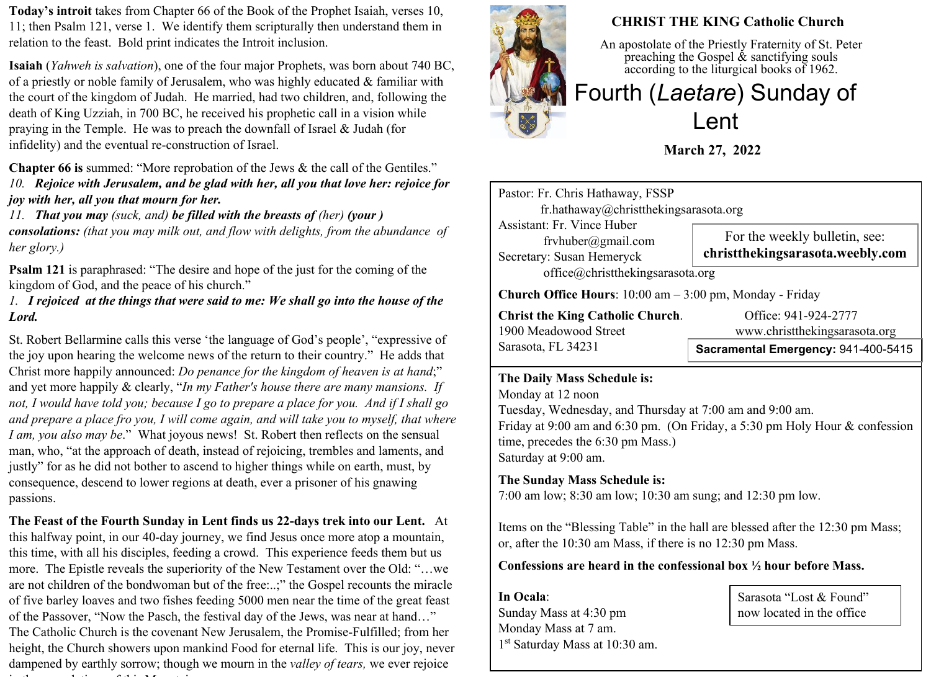**Today's introit** takes from Chapter 66 of the Book of the Prophet Isaiah, verses 10, 11; then Psalm 121, verse 1. We identify them scripturally then understand them in relation to the feast. Bold print indicates the Introit inclusion.

**Isaiah** (*Yahweh is salvation*), one of the four major Prophets, was born about 740 BC, of a priestly or noble family of Jerusalem, who was highly educated & familiar with the court of the kingdom of Judah. He married, had two children, and, following the death of King Uzziah, in 700 BC, he received his prophetic call in a vision while praying in the Temple. He was to preach the downfall of Israel & Judah (for infidelity) and the eventual re-construction of Israel.

**Chapter 66 is** summed: "More reprobation of the Jews & the call of the Gentiles." *10. Rejoice with Jerusalem, and be glad with her, all you that love her: rejoice for joy with her, all you that mourn for her.*

*11. That you may (suck, and) be filled with the breasts of (her) (your ) consolations: (that you may milk out, and flow with delights, from the abundance of her glory.)*

**Psalm 121** is paraphrased: "The desire and hope of the just for the coming of the kingdom of God, and the peace of his church."

## *1. I rejoiced at the things that were said to me: We shall go into the house of the Lord.*

St. Robert Bellarmine calls this verse 'the language of God's people', "expressive of the joy upon hearing the welcome news of the return to their country." He adds that Christ more happily announced: *Do penance for the kingdom of heaven is at hand*;" and yet more happily & clearly, "*In my Father's house there are many mansions. If not, I would have told you; because I go to prepare a place for you. And if I shall go and prepare a place fro you, I will come again, and will take you to myself, that where I am, you also may be*." What joyous news! St. Robert then reflects on the sensual man, who, "at the approach of death, instead of rejoicing, trembles and laments, and justly" for as he did not bother to ascend to higher things while on earth, must, by consequence, descend to lower regions at death, ever a prisoner of his gnawing passions.

**The Feast of the Fourth Sunday in Lent finds us 22-days trek into our Lent.** At this halfway point, in our 40-day journey, we find Jesus once more atop a mountain, this time, with all his disciples, feeding a crowd. This experience feeds them but us more. The Epistle reveals the superiority of the New Testament over the Old: "…we are not children of the bondwoman but of the free:..;" the Gospel recounts the miracle of five barley loaves and two fishes feeding 5000 men near the time of the great feast of the Passover, "Now the Pasch, the festival day of the Jews, was near at hand…" The Catholic Church is the covenant New Jerusalem, the Promise-Fulfilled; from her height, the Church showers upon mankind Food for eternal life. This is our joy, never dampened by earthly sorrow; though we mourn in the *valley of tears,* we ever rejoice in the consolations of this Mountain.



## **CHRIST THE KING Catholic Church**

An apostolate of the Priestly Fraternity of St. Peter preaching the Gospel  $\&$  sanctifying souls according to the liturgical books of 1962.

# Fourth (*Laetare*) Sunday of Lent

**March 27, 2022**

Pastor: Fr. Chris Hathaway, FSSP fr.hathaway@christthekingsarasota.org Assistant: Fr. Vince Huber frvhuber@gmail.com Secretary: Susan Hemeryck office@christthekingsarasota.org **Church Office Hours**: 10:00 am – 3:00 pm, Monday - Friday For the weekly bulletin, see: **christthekingsarasota.weebly.com**

**Christ the King Catholic Church.** Office: 941-924-2777<br>1900 Meadowood Street www.christthekingsaras Sarasota, FL 34231

www.christthekingsarasota.org

## **Sacramental Emergency:** 941-400-5415

#### **The Daily Mass Schedule is:**

Monday at 12 noon Tuesday, Wednesday, and Thursday at 7:00 am and 9:00 am. Friday at 9:00 am and 6:30 pm. (On Friday, a 5:30 pm Holy Hour & confession time, precedes the 6:30 pm Mass.) Saturday at 9:00 am.

## **The Sunday Mass Schedule is:**

7:00 am low; 8:30 am low; 10:30 am sung; and 12:30 pm low.

Items on the "Blessing Table" in the hall are blessed after the 12:30 pm Mass; or, after the 10:30 am Mass, if there is no 12:30 pm Mass.

#### **Confessions are heard in the confessional box ½ hour before Mass.**

**In Ocala**: Sunday Mass at 4:30 pm Monday Mass at 7 am. 1 st Saturday Mass at 10:30 am.

Sarasota "Lost & Found" now located in the office